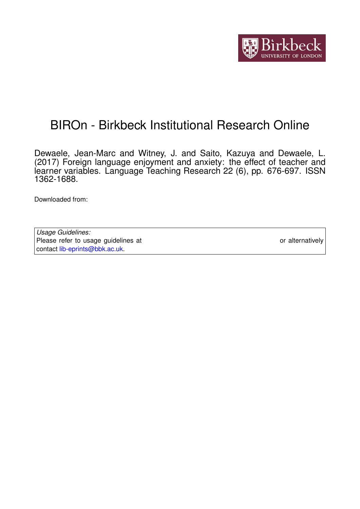

# BIROn - Birkbeck Institutional Research Online

Dewaele, Jean-Marc and Witney, J. and Saito, Kazuya and Dewaele, L. (2017) Foreign language enjoyment and anxiety: the effect of teacher and learner variables. Language Teaching Research 22 (6), pp. 676-697. ISSN 1362-1688.

Downloaded from: <https://eprints.bbk.ac.uk/id/eprint/18216/>

*Usage Guidelines:* Please refer to usage guidelines at <https://eprints.bbk.ac.uk/policies.html> or alternatively contact [lib-eprints@bbk.ac.uk.](mailto:lib-eprints@bbk.ac.uk)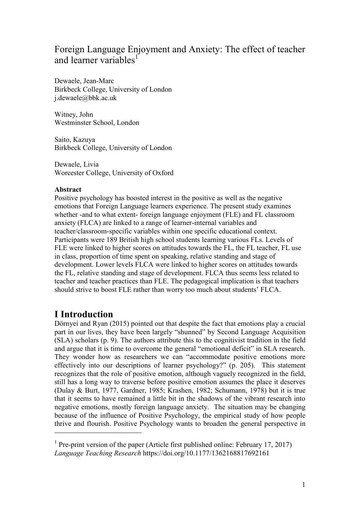# Foreign Language Enjoyment and Anxiety: The effect of teacher and learner variables<sup>1</sup>

Dewaele, Jean-Marc Birkbeck College, University of London j.dewaele@bbk.ac.uk

Witney, John Westminster School, London

Saito, Kazuya Birkbeck College, University of London

Dewaele, Livia Worcester College, University of Oxford

### **Abstract**

Positive psychology has boosted interest in the positive as well as the negative emotions that Foreign Language learners experience. The present study examines whether -and to what extent- foreign language enjoyment (FLE) and FL classroom anxiety (FLCA) are linked to a range of learner-internal variables and teacher/classroom-specific variables within one specific educational context. Participants were 189 British high school students learning various FLs. Levels of FLE were linked to higher scores on attitudes towards the FL, the FL teacher, FL use in class, proportion of time spent on speaking, relative standing and stage of development. Lower levels FLCA were linked to higher scores on attitudes towards the FL, relative standing and stage of development. FLCA thus seems less related to teacher and teacher practices than FLE. The pedagogical implication is that teachers should strive to boost FLE rather than worry too much about students' FLCA.

# **I Introduction**

 $\overline{a}$ 

Dörnyei and Ryan (2015) pointed out that despite the fact that emotions play a crucial part in our lives, they have been largely "shunned" by Second Language Acquisition (SLA) scholars (p. 9). The authors attribute this to the cognitivist tradition in the field and argue that it is time to overcome the general "emotional deficit" in SLA research. They wonder how as researchers we can "accommodate positive emotions more effectively into our descriptions of learner psychology?" (p. 205). This statement recognizes that the role of positive emotion, although vaguely recognized in the field, still has a long way to traverse before positive emotion assumes the place it deserves (Dulay & Burt, 1977, Gardner, 1985; Krashen, 1982; Schumann, 1978) but it is true that it seems to have remained a little bit in the shadows of the vibrant research into negative emotions, mostly foreign language anxiety. The situation may be changing because of the influence of Positive Psychology, the empirical study of how people thrive and flourish. Positive Psychology wants to broaden the general perspective in

<sup>&</sup>lt;sup>1</sup> Pre-print version of the paper (Article first published online: February 17, 2017) *Language Teaching Research* https://doi.org/10.1177/1362168817692161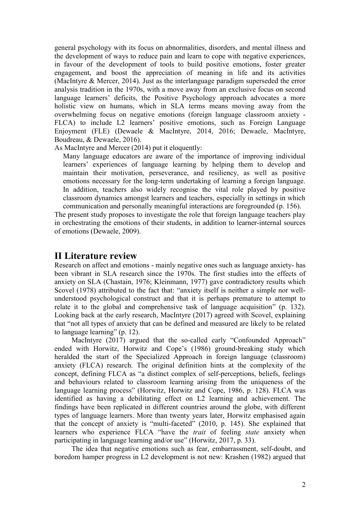general psychology with its focus on abnormalities, disorders, and mental illness and the development of ways to reduce pain and learn to cope with negative experiences, in favour of the development of tools to build positive emotions, foster greater engagement, and boost the appreciation of meaning in life and its activities (MacIntyre & Mercer, 2014). Just as the interlanguage paradigm superseded the error analysis tradition in the 1970s, with a move away from an exclusive focus on second language learners' deficits, the Positive Psychology approach advocates a more holistic view on humans, which in SLA terms means moving away from the overwhelming focus on negative emotions (foreign language classroom anxiety - FLCA) to include L2 learners' positive emotions, such as Foreign Language Enjoyment (FLE) (Dewaele & MacIntyre, 2014, 2016; Dewaele, MacIntyre, Boudreau, & Dewaele, 2016).

As MacIntyre and Mercer (2014) put it eloquently:

Many language educators are aware of the importance of improving individual learners' experiences of language learning by helping them to develop and maintain their motivation, perseverance, and resiliency, as well as positive emotions necessary for the long-term undertaking of learning a foreign language. In addition, teachers also widely recognise the vital role played by positive classroom dynamics amongst learners and teachers, especially in settings in which communication and personally meaningful interactions are foregrounded (p. 156).

The present study proposes to investigate the role that foreign language teachers play in orchestrating the emotions of their students, in addition to learner-internal sources of emotions (Dewaele, 2009).

# **II Literature review**

Research on affect and emotions - mainly negative ones such as language anxiety- has been vibrant in SLA research since the 1970s. The first studies into the effects of anxiety on SLA (Chastain, 1976; Kleinmann, 1977) gave contradictory results which Scovel (1978) attributed to the fact that: "anxiety itself is neither a simple nor wellunderstood psychological construct and that it is perhaps premature to attempt to relate it to the global and comprehensive task of language acquisition" (p. 132). Looking back at the early research, MacIntyre (2017) agreed with Scovel, explaining that "not all types of anxiety that can be defined and measured are likely to be related to language learning" (p. 12).

MacIntyre (2017) argued that the so-called early "Confounded Approach" ended with Horwitz, Horwitz and Cope's (1986) ground-breaking study which heralded the start of the Specialized Approach in foreign language (classroom) anxiety (FLCA) research. The original definition hints at the complexity of the concept, defining FLCA as "a distinct complex of self-perceptions, beliefs, feelings and behaviours related to classroom learning arising from the uniqueness of the language learning process" (Horwitz, Horwitz and Cope, 1986, p. 128). FLCA was identified as having a debilitating effect on L2 learning and achievement. The findings have been replicated in different countries around the globe, with different types of language learners. More than twenty years later, Horwitz emphasised again that the concept of anxiety is "multi-faceted" (2010, p. 145). She explained that learners who experience FLCA "have the *trait* of feeling *state* anxiety when participating in language learning and/or use" (Horwitz, 2017, p. 33).

The idea that negative emotions such as fear, embarrassment, self-doubt, and boredom hamper progress in L2 development is not new: Krashen (1982) argued that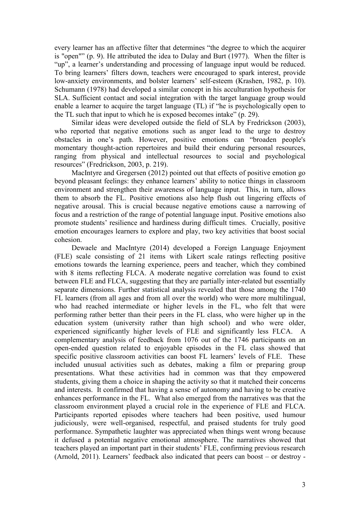every learner has an affective filter that determines "the degree to which the acquirer is "open"" (p. 9). He attributed the idea to Dulay and Burt (1977). When the filter is "up", a learner's understanding and processing of language input would be reduced. To bring learners' filters down, teachers were encouraged to spark interest, provide low-anxiety environments, and bolster learners' self-esteem (Krashen, 1982, p. 10). Schumann (1978) had developed a similar concept in his acculturation hypothesis for SLA. Sufficient contact and social integration with the target language group would enable a learner to acquire the target language (TL) if "he is psychologically open to the TL such that input to which he is exposed becomes intake" (p. 29).

Similar ideas were developed outside the field of SLA by Fredrickson (2003), who reported that negative emotions such as anger lead to the urge to destroy obstacles in one's path. However, positive emotions can "broaden people's momentary thought-action repertoires and build their enduring personal resources, ranging from physical and intellectual resources to social and psychological resources" (Fredrickson, 2003, p. 219).

MacIntyre and Gregersen (2012) pointed out that effects of positive emotion go beyond pleasant feelings: they enhance learners' ability to notice things in classroom environment and strengthen their awareness of language input. This, in turn, allows them to absorb the FL. Positive emotions also help flush out lingering effects of negative arousal. This is crucial because negative emotions cause a narrowing of focus and a restriction of the range of potential language input. Positive emotions also promote students' resilience and hardiness during difficult times. Crucially, positive emotion encourages learners to explore and play, two key activities that boost social cohesion.

Dewaele and MacIntyre (2014) developed a Foreign Language Enjoyment (FLE) scale consisting of 21 items with Likert scale ratings reflecting positive emotions towards the learning experience, peers and teacher, which they combined with 8 items reflecting FLCA. A moderate negative correlation was found to exist between FLE and FLCA, suggesting that they are partially inter-related but essentially separate dimensions. Further statistical analysis revealed that those among the 1740 FL learners (from all ages and from all over the world) who were more multilingual, who had reached intermediate or higher levels in the FL, who felt that were performing rather better than their peers in the FL class, who were higher up in the education system (university rather than high school) and who were older, experienced significantly higher levels of FLE and significantly less FLCA. A complementary analysis of feedback from 1076 out of the 1746 participants on an open-ended question related to enjoyable episodes in the FL class showed that specific positive classroom activities can boost FL learners' levels of FLE. These included unusual activities such as debates, making a film or preparing group presentations. What these activities had in common was that they empowered students, giving them a choice in shaping the activity so that it matched their concerns and interests. It confirmed that having a sense of autonomy and having to be creative enhances performance in the FL. What also emerged from the narratives was that the classroom environment played a crucial role in the experience of FLE and FLCA. Participants reported episodes where teachers had been positive, used humour judiciously, were well-organised, respectful, and praised students for truly good performance. Sympathetic laughter was appreciated when things went wrong because it defused a potential negative emotional atmosphere. The narratives showed that teachers played an important part in their students' FLE, confirming previous research (Arnold, 2011). Learners' feedback also indicated that peers can boost – or destroy -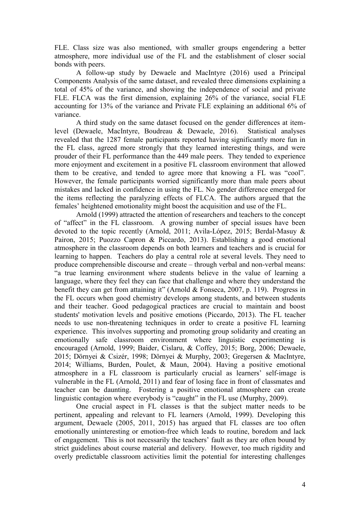FLE. Class size was also mentioned, with smaller groups engendering a better atmosphere, more individual use of the FL and the establishment of closer social bonds with peers.

A follow-up study by Dewaele and MacIntyre (2016) used a Principal Components Analysis of the same dataset, and revealed three dimensions explaining a total of 45% of the variance, and showing the independence of social and private FLE. FLCA was the first dimension, explaining 26% of the variance, social FLE accounting for 13% of the variance and Private FLE explaining an additional 6% of variance.

A third study on the same dataset focused on the gender differences at itemlevel (Dewaele, MacIntyre, Boudreau & Dewaele, 2016). Statistical analyses revealed that the 1287 female participants reported having significantly more fun in the FL class, agreed more strongly that they learned interesting things, and were prouder of their FL performance than the 449 male peers. They tended to experience more enjoyment and excitement in a positive FL classroom environment that allowed them to be creative, and tended to agree more that knowing a FL was "cool". However, the female participants worried significantly more than male peers about mistakes and lacked in confidence in using the FL. No gender difference emerged for the items reflecting the paralyzing effects of FLCA. The authors argued that the females' heightened emotionality might boost the acquisition and use of the FL.

Arnold (1999) attracted the attention of researchers and teachers to the concept of "affect" in the FL classroom. A growing number of special issues have been devoted to the topic recently (Arnold, 2011; Avila-López, 2015; Berdal-Masuy & Pairon, 2015; Puozzo Capron & Piccardo, 2013). Establishing a good emotional atmosphere in the classroom depends on both learners and teachers and is crucial for learning to happen. Teachers do play a central role at several levels. They need to produce comprehensible discourse and create – through verbal and non-verbal means: "a true learning environment where students believe in the value of learning a language, where they feel they can face that challenge and where they understand the benefit they can get from attaining it" (Arnold & Fonseca, 2007, p. 119). Progress in the FL occurs when good chemistry develops among students, and between students and their teacher. Good pedagogical practices are crucial to maintain and boost students' motivation levels and positive emotions (Piccardo, 2013). The FL teacher needs to use non-threatening techniques in order to create a positive FL learning experience. This involves supporting and promoting group solidarity and creating an emotionally safe classroom environment where linguistic experimenting is encouraged (Arnold, 1999; Baider, Cislaru, & Coffey, 2015; Borg, 2006; Dewaele, 2015; Dörnyei & Csizér, 1998; Dörnyei & Murphy, 2003; Gregersen & MacIntyre, 2014; Williams, Burden, Poulet, & Maun, 2004). Having a positive emotional atmosphere in a FL classroom is particularly crucial as learners' self-image is vulnerable in the FL (Arnold, 2011) and fear of losing face in front of classmates and teacher can be daunting. Fostering a positive emotional atmosphere can create linguistic contagion where everybody is "caught" in the FL use (Murphy, 2009).

One crucial aspect in FL classes is that the subject matter needs to be pertinent, appealing and relevant to FL learners (Arnold, 1999). Developing this argument, Dewaele (2005, 2011, 2015) has argued that FL classes are too often emotionally uninteresting or emotion-free which leads to routine, boredom and lack of engagement. This is not necessarily the teachers' fault as they are often bound by strict guidelines about course material and delivery. However, too much rigidity and overly predictable classroom activities limit the potential for interesting challenges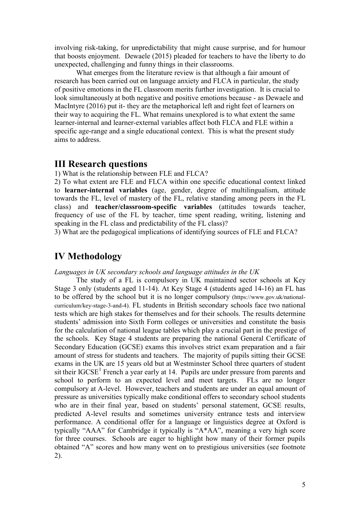involving risk-taking, for unpredictability that might cause surprise, and for humour that boosts enjoyment. Dewaele (2015) pleaded for teachers to have the liberty to do unexpected, challenging and funny things in their classrooms.

What emerges from the literature review is that although a fair amount of research has been carried out on language anxiety and FLCA in particular, the study of positive emotions in the FL classroom merits further investigation. It is crucial to look simultaneously at both negative and positive emotions because - as Dewaele and MacIntyre (2016) put it- they are the metaphorical left and right feet of learners on their way to acquiring the FL. What remains unexplored is to what extent the same learner-internal and learner-external variables affect both FLCA and FLE within a specific age-range and a single educational context. This is what the present study aims to address.

### **III Research questions**

1) What is the relationship between FLE and FLCA?

2) To what extent are FLE and FLCA within one specific educational context linked to **learner-internal variables** (age, gender, degree of multilingualism, attitude towards the FL, level of mastery of the FL, relative standing among peers in the FL class) and **teacher/classroom-specific variables** (attitudes towards teacher, frequency of use of the FL by teacher, time spent reading, writing, listening and speaking in the FL class and predictability of the FL class)?

3) What are the pedagogical implications of identifying sources of FLE and FLCA?

# **IV Methodology**

#### *Languages in UK secondary schools and language attitudes in the UK*

The study of a FL is compulsory in UK maintained sector schools at Key Stage 3 only (students aged 11-14). At Key Stage 4 (students aged 14-16) an FL has to be offered by the school but it is no longer compulsory (https://www.gov.uk/nationalcurriculum/key-stage-3-and-4). FL students in British secondary schools face two national tests which are high stakes for themselves and for their schools. The results determine students' admission into Sixth Form colleges or universities and constitute the basis for the calculation of national league tables which play a crucial part in the prestige of the schools. Key Stage 4 students are preparing the national General Certificate of Secondary Education (GCSE) exams this involves strict exam preparation and a fair amount of stress for students and teachers. The majority of pupils sitting their GCSE exams in the UK are 15 years old but at Westminster School three quarters of student sit their  $IGCSE<sup>1</sup>$  French a year early at 14. Pupils are under pressure from parents and school to perform to an expected level and meet targets. FLs are no longer compulsory at A-level. However, teachers and students are under an equal amount of pressure as universities typically make conditional offers to secondary school students who are in their final year, based on students' personal statement, GCSE results, predicted A-level results and sometimes university entrance tests and interview performance. A conditional offer for a language or linguistics degree at Oxford is typically "AAA" for Cambridge it typically is "A\*AA", meaning a very high score for three courses. Schools are eager to highlight how many of their former pupils obtained "A" scores and how many went on to prestigious universities (see footnote 2).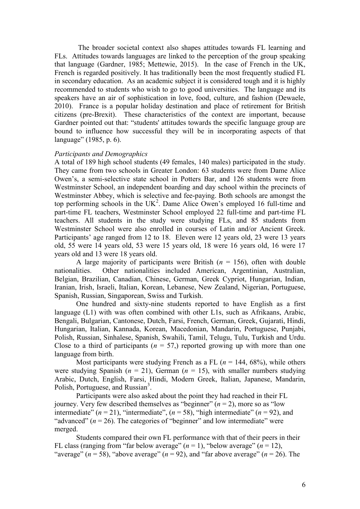The broader societal context also shapes attitudes towards FL learning and FLs. Attitudes towards languages are linked to the perception of the group speaking that language (Gardner, 1985; Mettewie, 2015). In the case of French in the UK, French is regarded positively. It has traditionally been the most frequently studied FL in secondary education. As an academic subject it is considered tough and it is highly recommended to students who wish to go to good universities. The language and its speakers have an air of sophistication in love, food, culture, and fashion (Dewaele, 2010). France is a popular holiday destination and place of retirement for British citizens (pre-Brexit). These characteristics of the context are important, because Gardner pointed out that: "students' attitudes towards the specific language group are bound to influence how successful they will be in incorporating aspects of that language" (1985, p. 6).

#### *Participants and Demographics*

A total of 189 high school students (49 females, 140 males) participated in the study. They came from two schools in Greater London: 63 students were from Dame Alice Owen's, a semi-selective state school in Potters Bar, and 126 students were from Westminster School, an independent boarding and day school within the precincts of Westminster Abbey, which is selective and fee-paying. Both schools are amongst the top performing schools in the  $UK<sup>2</sup>$ . Dame Alice Owen's employed 16 full-time and part-time FL teachers, Westminster School employed 22 full-time and part-time FL teachers. All students in the study were studying FLs, and 85 students from Westminster School were also enrolled in courses of Latin and/or Ancient Greek. Participants' age ranged from 12 to 18. Eleven were 12 years old, 23 were 13 years old, 55 were 14 years old, 53 were 15 years old, 18 were 16 years old, 16 were 17 years old and 13 were 18 years old.

A large majority of participants were British  $(n = 156)$ , often with double nationalities. Other nationalities included American, Argentinian, Australian, Belgian, Brazilian, Canadian, Chinese, German, Greek Cypriot, Hungarian, Indian, Iranian, Irish, Israeli, Italian, Korean, Lebanese, New Zealand, Nigerian, Portuguese, Spanish, Russian, Singaporean, Swiss and Turkish.

One hundred and sixty-nine students reported to have English as a first language (L1) with was often combined with other L1s, such as Afrikaans, Arabic, Bengali, Bulgarian, Cantonese, Dutch, Farsi, French, German, Greek, Gujarati, Hindi, Hungarian, Italian, Kannada, Korean, Macedonian, Mandarin, Portuguese, Punjabi, Polish, Russian, Sinhalese, Spanish, Swahili, Tamil, Telugu, Tulu, Turkish and Urdu. Close to a third of participants ( $n = 57$ ) reported growing up with more than one language from birth.

Most participants were studying French as a FL  $(n = 144, 68\%)$ , while others were studying Spanish ( $n = 21$ ), German ( $n = 15$ ), with smaller numbers studying Arabic, Dutch, English, Farsi, Hindi, Modern Greek, Italian, Japanese, Mandarin, Polish, Portuguese, and Russian<sup>3</sup>.

Participants were also asked about the point they had reached in their FL journey. Very few described themselves as "beginner" (*n* = 2), more so as "low intermediate"  $(n = 21)$ , "intermediate",  $(n = 58)$ , "high intermediate"  $(n = 92)$ , and "advanced"  $(n = 26)$ . The categories of "beginner" and low intermediate" were merged.

Students compared their own FL performance with that of their peers in their FL class (ranging from "far below average"  $(n = 1)$ , "below average"  $(n = 12)$ , "average" ( $n = 58$ ), "above average" ( $n = 92$ ), and "far above average" ( $n = 26$ ). The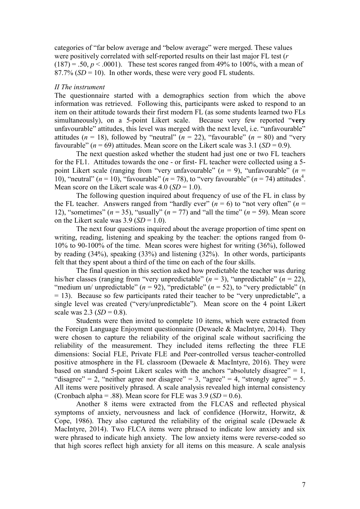categories of "far below average and "below average" were merged. These values were positively correlated with self-reported results on their last major FL test (*r*  $(187) = .50, p < .0001$ . These test scores ranged from 49% to 100%, with a mean of 87.7% (*SD* = 10). In other words, these were very good FL students.

#### *II The instrument*

The questionnaire started with a demographics section from which the above information was retrieved. Following this, participants were asked to respond to an item on their attitude towards their first modern FL (as some students learned two FLs simultaneously), on a 5-point Likert scale. Because very few reported "**very** unfavourable" attitudes, this level was merged with the next level, i.e. "unfavourable" attitudes ( $n = 18$ ), followed by "neutral" ( $n = 22$ ), "favourable" ( $n = 80$ ) and "very favourable"  $(n = 69)$  attitudes. Mean score on the Likert scale was 3.1 (*SD* = 0.9).

The next question asked whether the student had just one or two FL teachers for the FL1. Attitudes towards the one - or first- FL teacher were collected using a 5 point Likert scale (ranging from "very unfavourable"  $(n = 9)$ , "unfavourable"  $(n = 1)$ 10), "neutral"  $(n = 10)$ , "favourable"  $(n = 78)$ , to "very favourable"  $(n = 74)$  attitudes<sup>4</sup>. Mean score on the Likert scale was 4.0 (*SD* = 1.0).

The following question inquired about frequency of use of the FL in class by the FL teacher. Answers ranged from "hardly ever"  $(n = 6)$  to "not very often"  $(n = 1)$ 12), "sometimes"  $(n = 35)$ , "usually"  $(n = 77)$  and "all the time"  $(n = 59)$ . Mean score on the Likert scale was  $3.9$  (*SD* = 1.0).

The next four questions inquired about the average proportion of time spent on writing, reading, listening and speaking by the teacher: the options ranged from 0- 10% to 90-100% of the time. Mean scores were highest for writing (36%), followed by reading (34%), speaking (33%) and listening (32%). In other words, participants felt that they spent about a third of the time on each of the four skills.

The final question in this section asked how predictable the teacher was during his/her classes (ranging from "very unpredictable" (*n* = 3), "unpredictable" (*n* = 22), "medium un/ unpredictable"  $(n = 92)$ , "predictable"  $(n = 52)$ , to "very predictable" (n = 13). Because so few participants rated their teacher to be "very unpredictable", a single level was created ("very/unpredictable"). Mean score on the 4 point Likert scale was 2.3 ( $SD = 0.8$ ).

Students were then invited to complete 10 items, which were extracted from the Foreign Language Enjoyment questionnaire (Dewaele & MacIntyre, 2014). They were chosen to capture the reliability of the original scale without sacrificing the reliability of the measurement. They included items reflecting the three FLE dimensions: Social FLE, Private FLE and Peer-controlled versus teacher-controlled positive atmosphere in the FL classroom (Dewaele & MacIntyre, 2016). They were based on standard 5-point Likert scales with the anchors "absolutely disagree"  $= 1$ , "disagree" = 2, "neither agree nor disagree" = 3, "agree" = 4, "strongly agree" = 5. All items were positively phrased. A scale analysis revealed high internal consistency (Cronbach alpha = .88). Mean score for FLE was  $3.9$  (*SD* = 0.6).

Another 8 items were extracted from the FLCAS and reflected physical symptoms of anxiety, nervousness and lack of confidence (Horwitz, Horwitz, & Cope, 1986). They also captured the reliability of the original scale (Dewaele  $\&$ MacIntyre, 2014). Two FLCA items were phrased to indicate low anxiety and six were phrased to indicate high anxiety. The low anxiety items were reverse-coded so that high scores reflect high anxiety for all items on this measure. A scale analysis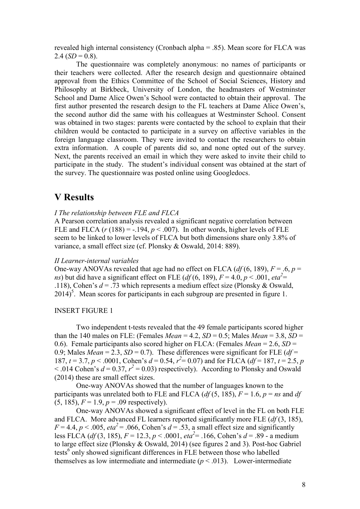revealed high internal consistency (Cronbach alpha = .85). Mean score for FLCA was 2.4 ( $SD = 0.8$ ).

The questionnaire was completely anonymous: no names of participants or their teachers were collected. After the research design and questionnaire obtained approval from the Ethics Committee of the School of Social Sciences, History and Philosophy at Birkbeck, University of London, the headmasters of Westminster School and Dame Alice Owen's School were contacted to obtain their approval. The first author presented the research design to the FL teachers at Dame Alice Owen's, the second author did the same with his colleagues at Westminster School. Consent was obtained in two stages: parents were contacted by the school to explain that their children would be contacted to participate in a survey on affective variables in the foreign language classroom. They were invited to contact the researchers to obtain extra information. A couple of parents did so, and none opted out of the survey. Next, the parents received an email in which they were asked to invite their child to participate in the study. The student's individual consent was obtained at the start of the survey. The questionnaire was posted online using Googledocs.

# **V Results**

#### *I The relationship between FLE and FLCA*

A Pearson correlation analysis revealed a significant negative correlation between FLE and FLCA  $(r (188) = -.194, p < .007)$ . In other words, higher levels of FLE seem to be linked to lower levels of FLCA but both dimensions share only 3.8% of variance, a small effect size (cf. Plonsky & Oswald, 2014: 889).

#### *II Learner-internal variables*

One-way ANOVAs revealed that age had no effect on FLCA  $(df(6, 189), F = .6, p =$ *ns*) but did have a significant effect on FLE ( $df$ (6, 189),  $F = 4.0$ ,  $p < .001$ ,  $eta^2 =$ .118), Cohen's *d* = .73 which represents a medium effect size (Plonsky & Oswald,  $2014$ <sup>5</sup>. Mean scores for participants in each subgroup are presented in figure 1.

#### INSERT FIGURE 1

Two independent t-tests revealed that the 49 female participants scored higher than the 140 males on FLE: (Females *Mean* = 4.2,  $SD = 0.5$ ; Males *Mean* = 3.8,  $SD =$ 0.6). Female participants also scored higher on FLCA: (Females *Mean* = 2.6, *SD* = 0.9; Males  $Mean = 2.3$ ,  $SD = 0.7$ ). These differences were significant for FLE ( $df =$ 187,  $t = 3.7$ ,  $p < .0001$ , Cohen's  $d = 0.54$ ,  $r^2 = 0.07$ ) and for FLCA ( $df = 187$ ,  $t = 2.5$ ,  $p$  $<$  .014 Cohen's  $d = 0.37$ ,  $r^2 = 0.03$ ) respectively). According to Plonsky and Oswald (2014) these are small effect sizes.

One-way ANOVAs showed that the number of languages known to the participants was unrelated both to FLE and FLCA ( $df(5, 185)$ ,  $F = 1.6$ ,  $p = ns$  and  $df$  $(5, 185)$ ,  $F = 1.9$ ,  $p = .09$  respectively).

One-way ANOVAs showed a significant effect of level in the FL on both FLE and FLCA. More advanced FL learners reported significantly more FLE (*df* (3, 185),  $F = 4.4$ ,  $p < .005$ ,  $eta^2 = .066$ , Cohen's  $d = .53$ , a small effect size and significantly less FLCA (*df* (3, 185), *F* = 12.3, *p* < .0001, *eta<sup>2</sup>* = .166, Cohen's *d* = .89 - a medium to large effect size (Plonsky & Oswald, 2014) (see figures 2 and 3). Post-hoc Gabriel tests<sup>6</sup> only showed significant differences in FLE between those who labelled themselves as low intermediate and intermediate  $(p < .013)$ . Lower-intermediate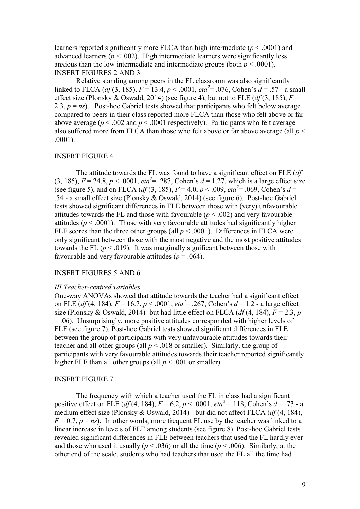learners reported significantly more FLCA than high intermediate (*p* < .0001) and advanced learners  $(p < .002)$ . High intermediate learners were significantly less anxious than the low intermediate and intermediate groups (both  $p < .0001$ ). INSERT FIGURES 2 AND 3

Relative standing among peers in the FL classroom was also significantly linked to FLCA (*df* (3, 185), *F* = 13.4, *p* < .0001, *eta<sup>2</sup>* = .076, Cohen's *d* = .57 - a small effect size (Plonsky & Oswald, 2014) (see figure 4), but not to FLE ( $df(3, 185)$ ,  $F =$ 2.3,  $p = ns$ ). Post-hoc Gabriel tests showed that participants who felt below average compared to peers in their class reported more FLCA than those who felt above or far above average ( $p < .002$  and  $p < .0001$  respectively). Participants who felt average also suffered more from FLCA than those who felt above or far above average (all *p* < .0001).

### INSERT FIGURE 4

The attitude towards the FL was found to have a significant effect on FLE (*df* (3, 185),  $F = 24.8$ ,  $p < .0001$ ,  $eta^2 = .287$ , Cohen's  $d = 1.27$ , which is a large effect size (see figure 5), and on FLCA ( $df(3, 185)$ ,  $F = 4.0$ ,  $p < .009$ ,  $eta^2 = .069$ , Cohen's  $d =$ .54 - a small effect size (Plonsky & Oswald, 2014) (see figure 6). Post-hoc Gabriel tests showed significant differences in FLE between those with (very) unfavourable attitudes towards the FL and those with favourable  $(p < .002)$  and very favourable attitudes ( $p < .0001$ ). Those with very favourable attitudes had significantly higher FLE scores than the three other groups (all  $p < .0001$ ). Differences in FLCA were only significant between those with the most negative and the most positive attitudes towards the FL  $(p < .019)$ . It was marginally significant between those with favourable and very favourable attitudes ( $p = .064$ ).

#### INSERT FIGURES 5 AND 6

#### *III Teacher-centred variables*

One-way ANOVAs showed that attitude towards the teacher had a significant effect on FLE (*df* (4, 184), *F* = 16.7, *p* < .0001, *eta<sup>2</sup>* = .267, Cohen's *d* = 1.2 - a large effect size (Plonsky & Oswald, 2014)- but had little effect on FLCA ( $df(4, 184)$ ,  $F = 2.3$ , *p* = .06). Unsurprisingly, more positive attitudes corresponded with higher levels of FLE (see figure 7). Post-hoc Gabriel tests showed significant differences in FLE between the group of participants with very unfavourable attitudes towards their teacher and all other groups (all  $p < .018$  or smaller). Similarly, the group of participants with very favourable attitudes towards their teacher reported significantly higher FLE than all other groups (all  $p < .001$  or smaller).

#### INSERT FIGURE 7

The frequency with which a teacher used the FL in class had a significant positive effect on FLE (*df* (4, 184),  $F = 6.2$ ,  $p < .0001$ ,  $eta^2 = .118$ , Cohen's  $d = .73$  - a medium effect size (Plonsky & Oswald, 2014) - but did not affect FLCA (*df* (4, 184),  $F = 0.7$ ,  $p = ns$ ). In other words, more frequent FL use by the teacher was linked to a linear increase in levels of FLE among students (see figure 8). Post-hoc Gabriel tests revealed significant differences in FLE between teachers that used the FL hardly ever and those who used it usually ( $p < .036$ ) or all the time ( $p < .006$ ). Similarly, at the other end of the scale, students who had teachers that used the FL all the time had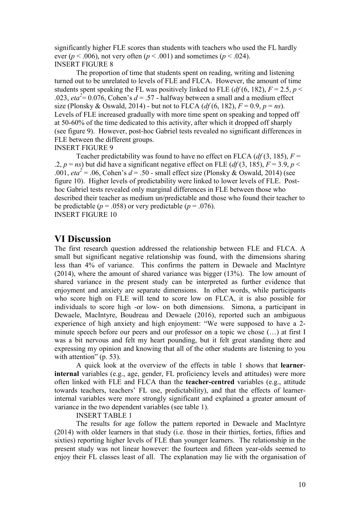significantly higher FLE scores than students with teachers who used the FL hardly ever ( $p < .006$ ), not very often ( $p < .001$ ) and sometimes ( $p < .024$ ). INSERT FIGURE 8

The proportion of time that students spent on reading, writing and listening turned out to be unrelated to levels of FLE and FLCA. However, the amount of time students spent speaking the FL was positively linked to FLE ( $df$  (6, 182),  $F = 2.5$ ,  $p <$ .023,  $eta^2 = 0.076$ , Cohen's  $d = .57$  - halfway between a small and a medium effect size (Plonsky & Oswald, 2014) - but not to FLCA ( $df(6, 182)$ ,  $F = 0.9$ ,  $p = ns$ ). Levels of FLE increased gradually with more time spent on speaking and topped off at 50-60% of the time dedicated to this activity, after which it dropped off sharply (see figure 9). However, post-hoc Gabriel tests revealed no significant differences in FLE between the different groups.

INSERT FIGURE 9

Teacher predictability was found to have no effect on FLCA ( $df(3, 185)$ ,  $F =$ .2,  $p = ns$ ) but did have a significant negative effect on FLE ( $df(3, 185)$ ,  $F = 3.9$ ,  $p <$ .001,  $eta^2 = 0.06$ , Cohen's  $d = 0.50$  - small effect size (Plonsky & Oswald, 2014) (see figure 10). Higher levels of predictability were linked to lower levels of FLE. Posthoc Gabriel tests revealed only marginal differences in FLE between those who described their teacher as medium un/predictable and those who found their teacher to be predictable ( $p = .058$ ) or very predictable ( $p = .076$ ). INSERT FIGURE 10

# **VI Discussion**

The first research question addressed the relationship between FLE and FLCA. A small but significant negative relationship was found, with the dimensions sharing less than 4% of variance. This confirms the pattern in Dewaele and MacIntyre (2014), where the amount of shared variance was bigger (13%). The low amount of shared variance in the present study can be interpreted as further evidence that enjoyment and anxiety are separate dimensions. In other words, while participants who score high on FLE will tend to score low on FLCA, it is also possible for individuals to score high -or low- on both dimensions. Simona, a participant in Dewaele, MacIntyre, Boudreau and Dewaele (2016), reported such an ambiguous experience of high anxiety and high enjoyment: "We were supposed to have a 2 minute speech before our peers and our professor on a topic we chose (…) at first I was a bit nervous and felt my heart pounding, but it felt great standing there and expressing my opinion and knowing that all of the other students are listening to you with attention" (p. 53).

A quick look at the overview of the effects in table 1 shows that **learnerinternal** variables (e.g., age, gender, FL proficiency levels and attitudes) were more often linked with FLE and FLCA than the **teacher-centred** variables (e.g., attitude towards teachers, teachers' FL use, predictability), and that the effects of learnerinternal variables were more strongly significant and explained a greater amount of variance in the two dependent variables (see table 1).

#### INSERT TABLE 1

The results for age follow the pattern reported in Dewaele and MacIntyre (2014) with older learners in that study (i.e. those in their thirties, forties, fifties and sixties) reporting higher levels of FLE than younger learners. The relationship in the present study was not linear however: the fourteen and fifteen year-olds seemed to enjoy their FL classes least of all. The explanation may lie with the organisation of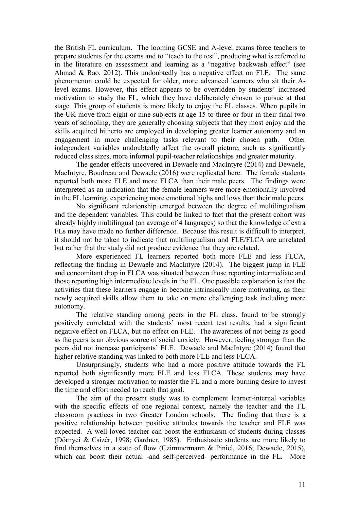the British FL curriculum. The looming GCSE and A-level exams force teachers to prepare students for the exams and to "teach to the test", producing what is referred to in the literature on assessment and learning as a "negative backwash effect" (see Ahmad & Rao, 2012). This undoubtedly has a negative effect on FLE. The same phenomenon could be expected for older, more advanced learners who sit their Alevel exams. However, this effect appears to be overridden by students' increased motivation to study the FL, which they have deliberately chosen to pursue at that stage. This group of students is more likely to enjoy the FL classes. When pupils in the UK move from eight or nine subjects at age 15 to three or four in their final two years of schooling, they are generally choosing subjects that they most enjoy and the skills acquired hitherto are employed in developing greater learner autonomy and an engagement in more challenging tasks relevant to their chosen path. Other independent variables undoubtedly affect the overall picture, such as significantly reduced class sizes, more informal pupil-teacher relationships and greater maturity.

The gender effects uncovered in Dewaele and MacIntyre (2014) and Dewaele, MacIntyre, Boudreau and Dewaele (2016) were replicated here. The female students reported both more FLE and more FLCA than their male peers. The findings were interpreted as an indication that the female learners were more emotionally involved in the FL learning, experiencing more emotional highs and lows than their male peers.

No significant relationship emerged between the degree of multilingualism and the dependent variables. This could be linked to fact that the present cohort was already highly multilingual (an average of 4 languages) so that the knowledge of extra FLs may have made no further difference. Because this result is difficult to interpret, it should not be taken to indicate that multilingualism and FLE/FLCA are unrelated but rather that the study did not produce evidence that they are related.

More experienced FL learners reported both more FLE and less FLCA, reflecting the finding in Dewaele and MacIntyre (2014). The biggest jump in FLE and concomitant drop in FLCA was situated between those reporting intermediate and those reporting high intermediate levels in the FL. One possible explanation is that the activities that these learners engage in become intrinsically more motivating, as their newly acquired skills allow them to take on more challenging task including more autonomy.

The relative standing among peers in the FL class, found to be strongly positively correlated with the students' most recent test results, had a significant negative effect on FLCA, but no effect on FLE. The awareness of not being as good as the peers is an obvious source of social anxiety. However, feeling stronger than the peers did not increase participants' FLE. Dewaele and MacIntyre (2014) found that higher relative standing was linked to both more FLE and less FLCA.

Unsurprisingly, students who had a more positive attitude towards the FL reported both significantly more FLE and less FLCA. These students may have developed a stronger motivation to master the FL and a more burning desire to invest the time and effort needed to reach that goal.

The aim of the present study was to complement learner-internal variables with the specific effects of one regional context, namely the teacher and the FL classroom practices in two Greater London schools. The finding that there is a positive relationship between positive attitudes towards the teacher and FLE was expected. A well-loved teacher can boost the enthusiasm of students during classes (Dörnyei & Csizér, 1998; Gardner, 1985). Enthusiastic students are more likely to find themselves in a state of flow (Czimmermann & Piniel, 2016; Dewaele, 2015), which can boost their actual -and self-perceived- performance in the FL. More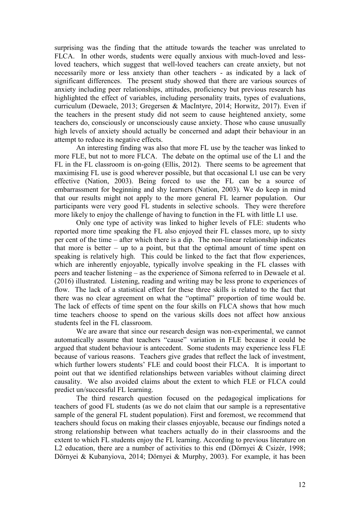surprising was the finding that the attitude towards the teacher was unrelated to FLCA. In other words, students were equally anxious with much-loved and lessloved teachers, which suggest that well-loved teachers can create anxiety, but not necessarily more or less anxiety than other teachers - as indicated by a lack of significant differences. The present study showed that there are various sources of anxiety including peer relationships, attitudes, proficiency but previous research has highlighted the effect of variables, including personality traits, types of evaluations, curriculum (Dewaele, 2013; Gregersen & MacIntyre, 2014; Horwitz, 2017). Even if the teachers in the present study did not seem to cause heightened anxiety, some teachers do, consciously or unconsciously cause anxiety. Those who cause unusually high levels of anxiety should actually be concerned and adapt their behaviour in an attempt to reduce its negative effects.

An interesting finding was also that more FL use by the teacher was linked to more FLE, but not to more FLCA. The debate on the optimal use of the L1 and the FL in the FL classroom is on-going (Ellis, 2012). There seems to be agreement that maximising FL use is good wherever possible, but that occasional L1 use can be very effective (Nation, 2003). Being forced to use the FL can be a source of embarrassment for beginning and shy learners (Nation, 2003). We do keep in mind that our results might not apply to the more general FL learner population. Our participants were very good FL students in selective schools. They were therefore more likely to enjoy the challenge of having to function in the FL with little L1 use.

Only one type of activity was linked to higher levels of FLE: students who reported more time speaking the FL also enjoyed their FL classes more, up to sixty per cent of the time – after which there is a dip. The non-linear relationship indicates that more is better  $-$  up to a point, but that the optimal amount of time spent on speaking is relatively high. This could be linked to the fact that flow experiences, which are inherently enjoyable, typically involve speaking in the FL classes with peers and teacher listening – as the experience of Simona referred to in Dewaele et al. (2016) illustrated. Listening, reading and writing may be less prone to experiences of flow. The lack of a statistical effect for these three skills is related to the fact that there was no clear agreement on what the "optimal" proportion of time would be. The lack of effects of time spent on the four skills on FLCA shows that how much time teachers choose to spend on the various skills does not affect how anxious students feel in the FL classroom.

We are aware that since our research design was non-experimental, we cannot automatically assume that teachers "cause" variation in FLE because it could be argued that student behaviour is antecedent. Some students may experience less FLE because of various reasons. Teachers give grades that reflect the lack of investment, which further lowers students' FLE and could boost their FLCA. It is important to point out that we identified relationships between variables without claiming direct causality. We also avoided claims about the extent to which FLE or FLCA could predict un/successful FL learning.

The third research question focused on the pedagogical implications for teachers of good FL students (as we do not claim that our sample is a representative sample of the general FL student population). First and foremost, we recommend that teachers should focus on making their classes enjoyable, because our findings noted a strong relationship between what teachers actually do in their classrooms and the extent to which FL students enjoy the FL learning. According to previous literature on L2 education, there are a number of activities to this end (Dörnyei & Csizér, 1998; Dörnyei & Kubanyiova, 2014; Dörnyei & Murphy, 2003). For example, it has been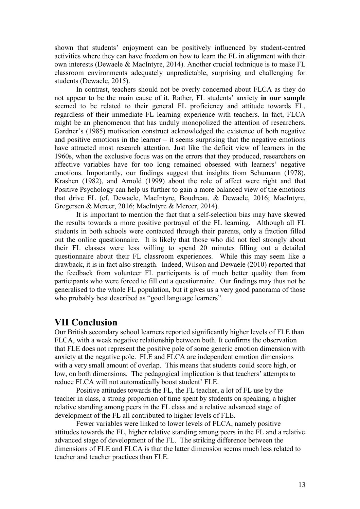shown that students' enjoyment can be positively influenced by student-centred activities where they can have freedom on how to learn the FL in alignment with their own interests (Dewaele & MacIntyre, 2014). Another crucial technique is to make FL classroom environments adequately unpredictable, surprising and challenging for students (Dewaele, 2015).

In contrast, teachers should not be overly concerned about FLCA as they do not appear to be the main cause of it. Rather, FL students' anxiety **in our sample** seemed to be related to their general FL proficiency and attitude towards FL, regardless of their immediate FL learning experience with teachers. In fact, FLCA might be an phenomenon that has unduly monopolized the attention of researchers. Gardner's (1985) motivation construct acknowledged the existence of both negative and positive emotions in the learner – it seems surprising that the negative emotions have attracted most research attention. Just like the deficit view of learners in the 1960s, when the exclusive focus was on the errors that they produced, researchers on affective variables have for too long remained obsessed with learners' negative emotions. Importantly, our findings suggest that insights from Schumann (1978), Krashen (1982), and Arnold (1999) about the role of affect were right and that Positive Psychology can help us further to gain a more balanced view of the emotions that drive FL (cf. Dewaele, MacIntyre, Boudreau, & Dewaele, 2016; MacIntyre, Gregersen & Mercer, 2016; MacIntyre & Mercer, 2014).

It is important to mention the fact that a self-selection bias may have skewed the results towards a more positive portrayal of the FL learning. Although all FL students in both schools were contacted through their parents, only a fraction filled out the online questionnaire. It is likely that those who did not feel strongly about their FL classes were less willing to spend 20 minutes filling out a detailed questionnaire about their FL classroom experiences. While this may seem like a drawback, it is in fact also strength. Indeed, Wilson and Dewaele (2010) reported that the feedback from volunteer FL participants is of much better quality than from participants who were forced to fill out a questionnaire. Our findings may thus not be generalised to the whole FL population, but it gives us a very good panorama of those who probably best described as "good language learners".

# **VII Conclusion**

Our British secondary school learners reported significantly higher levels of FLE than FLCA, with a weak negative relationship between both. It confirms the observation that FLE does not represent the positive pole of some generic emotion dimension with anxiety at the negative pole. FLE and FLCA are independent emotion dimensions with a very small amount of overlap. This means that students could score high, or low, on both dimensions. The pedagogical implication is that teachers' attempts to reduce FLCA will not automatically boost student' FLE.

Positive attitudes towards the FL, the FL teacher, a lot of FL use by the teacher in class, a strong proportion of time spent by students on speaking, a higher relative standing among peers in the FL class and a relative advanced stage of development of the FL all contributed to higher levels of FLE.

Fewer variables were linked to lower levels of FLCA, namely positive attitudes towards the FL, higher relative standing among peers in the FL and a relative advanced stage of development of the FL. The striking difference between the dimensions of FLE and FLCA is that the latter dimension seems much less related to teacher and teacher practices than FLE.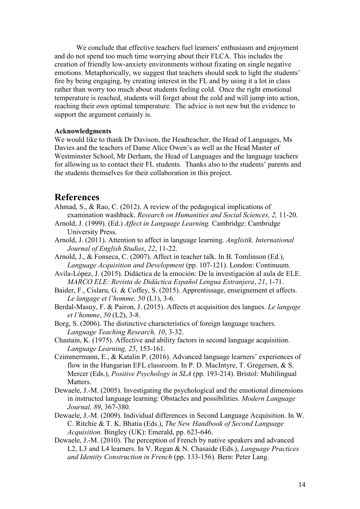We conclude that effective teachers fuel learners' enthusiasm and enjoyment and do not spend too much time worrying about their FLCA. This includes the creation of friendly low-anxiety environments without fixating on single negative emotions. Metaphorically, we suggest that teachers should seek to light the students' fire by being engaging, by creating interest in the FL and by using it a lot in class rather than worry too much about students feeling cold. Once the right emotional temperature is reached, students will forget about the cold and will jump into action, reaching their own optimal temperature. The advice is not new but the evidence to support the argument certainly is.

#### **Acknowledgments**

We would like to thank Dr Davison, the Headteacher, the Head of Languages, Ms Davies and the teachers of Dame Alice Owen's as well as the Head Master of Westminster School, Mr Derham, the Head of Languages and the language teachers for allowing us to contact their FL students. Thanks also to the students' parents and the students themselves for their collaboration in this project.

### **References**

- Ahmad, S., & Rao, C. (2012). A review of the pedagogical implications of examination washback. *Research on Humanities and Social Sciences, 2,* 11-20.
- Arnold, J. (1999). (Ed.) *Affect in Language Learning.* Cambridge: Cambridge University Press.
- Arnold, J. (2011). Attention to affect in language learning. *Anglistik. International Journal of English Studies*, *22*, 11-22.
- Arnold, J., & Fonseca, C. (2007). Affect in teacher talk. In B. Tomlinson (Ed.), *Language Acquisition and Development* (pp. 107-121). London: Continuum.
- Avila-López, J. (2015). Didáctica de la emoción: De la investigación al aula de ELE. *MARCO ELE: Revista de Didáctica Español Lengua Extranjera*, *21*, 1-71.
- Baider, F., Cislaru, G. & Coffey, S. (2015). Apprentissage, enseignement et affects. *Le langage et l'homme, 50* (L1), 3-6.
- Berdal-Masuy, F. & Pairon, J. (2015). Affects et acquisition des langues. *Le langage et l'homme*, *50* (L2), 3-8.
- Borg, S. (2006). The distinctive characteristics of foreign language teachers. *Language Teaching Research, 10*, 3-32.
- Chastain, K. (1975). Affective and ability factors in second language acquisition. *Language Learning, 25*, 153-161.
- Czimmermann, E., & Katalin P. (2016). Advanced language learners' experiences of flow in the Hungarian EFL classroom. In P. D. MacIntyre, T. Gregersen, & S. Mercer (Eds.), *Positive Psychology in SLA* (pp. 193-214). Bristol: Multilingual **Matters**
- Dewaele, J.-M. (2005). Investigating the psychological and the emotional dimensions in instructed language learning: Obstacles and possibilities. *Modern Language Journal, 89*, 367-380.
- Dewaele, J.-M. (2009). Individual differences in Second Language Acquisition. In W. C. Ritchie & T. K. Bhatia (Eds.), *The New Handbook of Second Language Acquisition.* Bingley (UK): Emerald, pp. 623-646.
- Dewaele, J.-M. (2010). The perception of French by native speakers and advanced L2, L3 and L4 learners. In V. Regan & N. Chasaide (Eds.), *Language Practices and Identity Construction in French* (pp. 133-156)*.* Bern: Peter Lang.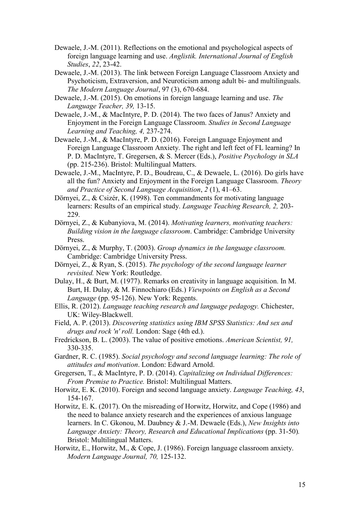- Dewaele, J.-M. (2011). Reflections on the emotional and psychological aspects of foreign language learning and use. *Anglistik. International Journal of English Studies*, *22*, 23-42.
- Dewaele, J.-M. (2013). The link between Foreign Language Classroom Anxiety and Psychoticism, Extraversion, and Neuroticism among adult bi- and multilinguals. *The Modern Language Journal*, 97 (3), 670-684.
- Dewaele, J.-M. (2015). On emotions in foreign language learning and use. *The Language Teacher, 39,* 13-15.
- Dewaele, J.-M., & MacIntyre, P. D. (2014). The two faces of Janus? Anxiety and Enjoyment in the Foreign Language Classroom. *Studies in Second Language Learning and Teaching, 4,* 237-274.
- Dewaele, J.-M., & MacIntyre, P. D. (2016). Foreign Language Enjoyment and Foreign Language Classroom Anxiety. The right and left feet of FL learning? In P. D. MacIntyre, T. Gregersen, & S. Mercer (Eds.), *Positive Psychology in SLA*  (pp. 215-236). Bristol: Multilingual Matters.
- Dewaele, J.-M., MacIntyre, P. D., Boudreau, C., & Dewaele, L. (2016). Do girls have all the fun? Anxiety and Enjoyment in the Foreign Language Classroom. *Theory and Practice of Second Language Acquisition*, *2* (1), 41–63.
- Dörnyei, Z., & Csizér, K. (1998). Ten commandments for motivating language learners: Results of an empirical study. *Language Teaching Research, 2,* 203- 229.
- Dörnyei, Z., & Kubanyiova, M. (2014). *Motivating learners, motivating teachers: Building vision in the language classroom*. Cambridge: Cambridge University Press.
- Dörnyei, Z., & Murphy, T. (2003). *Group dynamics in the language classroom.* Cambridge: Cambridge University Press.
- Dörnyei, Z., & Ryan, S. (2015). *The psychology of the second language learner revisited.* New York: Routledge.
- Dulay, H., & Burt, M. (1977). Remarks on creativity in language acquisition. In M. Burt, H. Dulay, & M. Finnochiaro (Eds.) *Viewpoints on English as a Second Language* (pp. 95-126). New York: Regents.
- Ellis, R. (2012). *Language teaching research and language pedagogy.* Chichester, UK: Wiley-Blackwell.
- Field, A. P. (2013). *Discovering statistics using IBM SPSS Statistics: And sex and drugs and rock 'n' roll.* London: Sage (4th ed.).
- Fredrickson, B. L. (2003). The value of positive emotions. *American Scientist, 91,* 330-335.
- Gardner, R. C. (1985). *Social psychology and second language learning: The role of attitudes and motivation*. London: Edward Arnold.
- Gregersen, T., & MacIntyre, P. D. (2014). *Capitalizing on Individual Differences: From Premise to Practice.* Bristol: Multilingual Matters.
- Horwitz, E. K. (2010). Foreign and second language anxiety. *Language Teaching, 43*, 154-167.
- Horwitz, E. K. (2017). On the misreading of Horwitz, Horwitz, and Cope (1986) and the need to balance anxiety research and the experiences of anxious language learners. In C. Gkonou, M. Daubney & J.-M. Dewaele (Eds.), *New Insights into Language Anxiety: Theory, Research and Educational Implications* (pp. 31-50)*.* Bristol: Multilingual Matters.
- Horwitz, E., Horwitz, M., & Cope, J. (1986). Foreign language classroom anxiety. *Modern Language Journal, 70,* 125-132.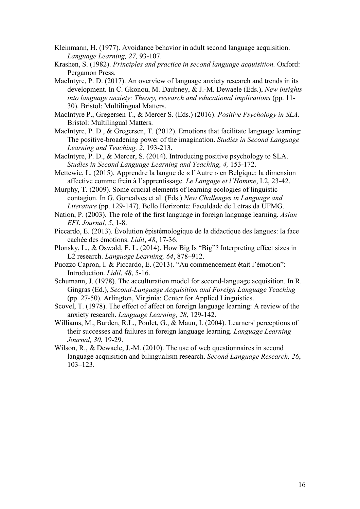- Kleinmann, H. (1977). Avoidance behavior in adult second language acquisition. *Language Learning, 27,* 93-107.
- Krashen, S. (1982). *Principles and practice in second language acquisition.* Oxford: Pergamon Press.
- MacIntyre, P. D. (2017). An overview of language anxiety research and trends in its development. In C. Gkonou, M. Daubney, & J.-M. Dewaele (Eds.), *New insights into language anxiety: Theory, research and educational implications* (pp. 11- 30). Bristol: Multilingual Matters.
- MacIntyre P., Gregersen T., & Mercer S. (Eds.) (2016). *Positive Psychology in SLA.* Bristol: Multilingual Matters.
- MacIntyre, P. D., & Gregersen, T. (2012). Emotions that facilitate language learning: The positive-broadening power of the imagination. *Studies in Second Language Learning and Teaching, 2*, 193-213.
- MacIntyre, P. D., & Mercer, S. (2014). Introducing positive psychology to SLA. *Studies in Second Language Learning and Teaching, 4,* 153-172.
- Mettewie, L. (2015). Apprendre la langue de « l'Autre » en Belgique: la dimension affective comme frein à l'apprentissage. *Le Langage et l'Homme*, L2, 23-42.
- Murphy, T. (2009). Some crucial elements of learning ecologies of linguistic contagion. In G. Goncalves et al. (Eds.) *New Challenges in Language and Literature* (pp. 129-147). Bello Horizonte: Faculdade de Letras da UFMG.
- Nation, P. (2003). The role of the first language in foreign language learning. *Asian EFL Journal, 5*, 1-8.
- Piccardo, E. (2013). Évolution épistémologique de la didactique des langues: la face cachée des émotions. *Lidil*, *48*, 17-36.
- Plonsky, L., & Oswald, F. L. (2014). How Big Is "Big"? Interpreting effect sizes in L2 research. *Language Learning, 64*, 878–912.
- Puozzo Capron, I. & Piccardo, E. (2013). "Au commencement était l'émotion": Introduction. *Lidil*, *48*, 5-16.
- Schumann, J. (1978). The acculturation model for second-language acquisition. In R. Gingras (Ed.), *Second-Language Acquisition and Foreign Language Teaching*  (pp. 27-50). Arlington, Virginia: Center for Applied Linguistics.
- Scovel, T. (1978). The effect of affect on foreign language learning: A review of the anxiety research. *Language Learning, 28*, 129-142.
- Williams, M., Burden, R.L., Poulet, G., & Maun, I. (2004). Learners' perceptions of their successes and failures in foreign language learning. *Language Learning Journal, 30*, 19-29.
- Wilson, R., & Dewaele, J.-M. (2010). The use of web questionnaires in second language acquisition and bilingualism research. *Second Language Research, 26*, 103–123.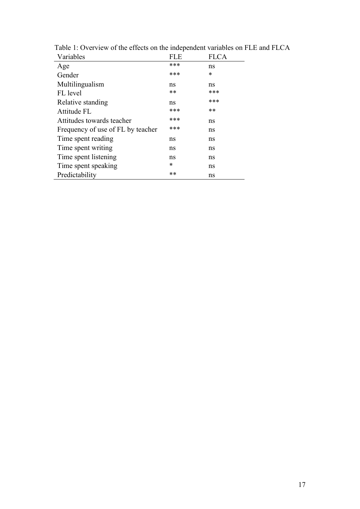| Variables                         | FLE. | FLCA |
|-----------------------------------|------|------|
| Age                               | ***  | ns   |
| Gender                            | ***  | *    |
| Multilingualism                   | ns   | ns   |
| FL level                          | **   | ***  |
| Relative standing                 | ns   | ***  |
| Attitude FL                       | ***  | **   |
| Attitudes towards teacher         | ***  | ns   |
| Frequency of use of FL by teacher | ***  | ns   |
| Time spent reading                | ns   | ns   |
| Time spent writing                | ns   | ns   |
| Time spent listening              | ns   | ns   |
| Time spent speaking               | *    | ns   |
| Predictability                    | **   | ns   |
|                                   |      |      |

Table 1: Overview of the effects on the independent variables on FLE and FLCA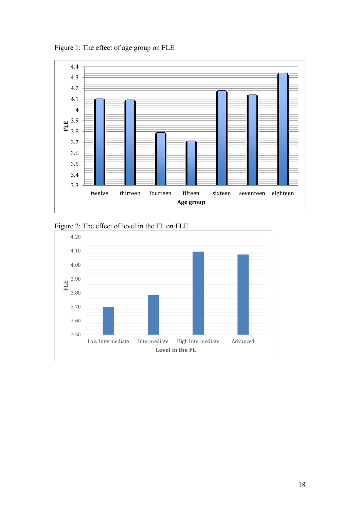Figure 1: The effect of age group on FLE



Figure 2: The effect of level in the FL on FLE

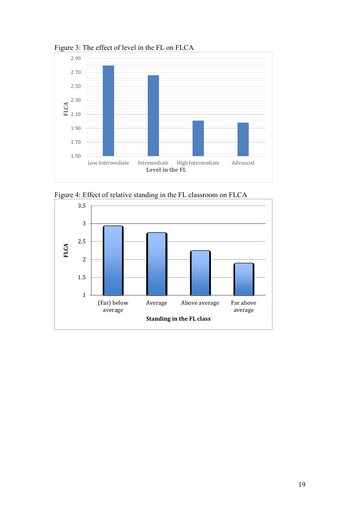

Figure 3: The effect of level in the FL on FLCA



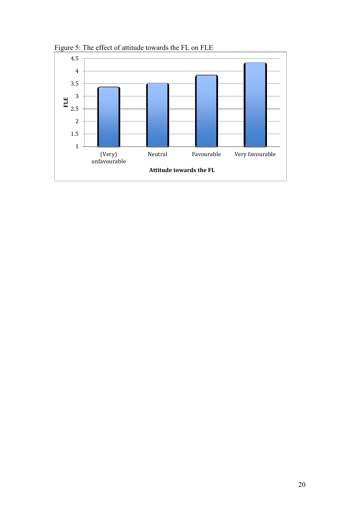

Figure 5: The effect of attitude towards the FL on FLE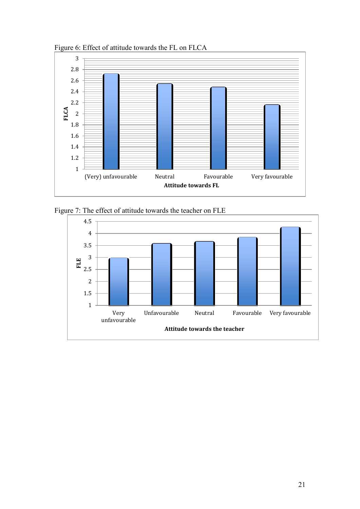

Figure 6: Effect of attitude towards the FL on FLCA

Figure 7: The effect of attitude towards the teacher on FLE

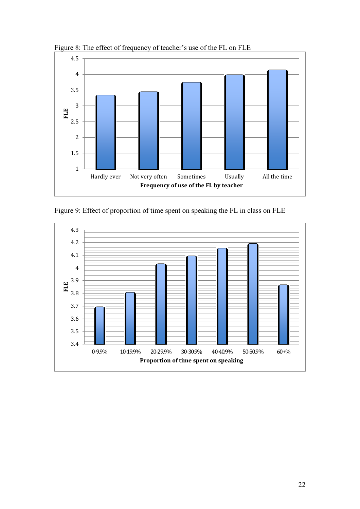

Figure 8: The effect of frequency of teacher's use of the FL on FLE

Figure 9: Effect of proportion of time spent on speaking the FL in class on FLE

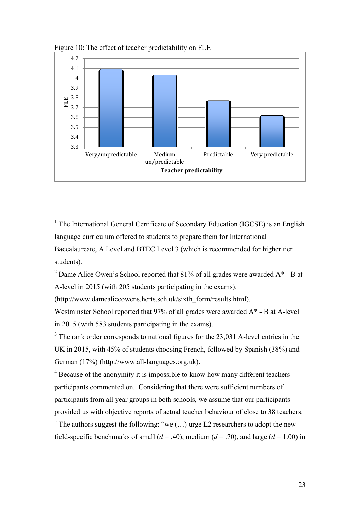

Figure 10: The effect of teacher predictability on FLE

 $\overline{a}$ 

<sup>2</sup> Dame Alice Owen's School reported that 81% of all grades were awarded  $A^*$  - B at A-level in 2015 (with 205 students participating in the exams).

(http://www.damealiceowens.herts.sch.uk/sixth\_form/results.html).

Westminster School reported that 97% of all grades were awarded A\* - B at A-level in 2015 (with 583 students participating in the exams).

 $3$  The rank order corresponds to national figures for the 23,031 A-level entries in the UK in 2015, with 45% of students choosing French, followed by Spanish (38%) and German (17%) (http://www.all-languages.org.uk).

<sup>4</sup> Because of the anonymity it is impossible to know how many different teachers participants commented on. Considering that there were sufficient numbers of participants from all year groups in both schools, we assume that our participants provided us with objective reports of actual teacher behaviour of close to 38 teachers.

<sup>5</sup> The authors suggest the following: "we  $(...)$  urge L2 researchers to adopt the new field-specific benchmarks of small  $(d = .40)$ , medium  $(d = .70)$ , and large  $(d = 1.00)$  in

<sup>&</sup>lt;sup>1</sup> The International General Certificate of Secondary Education (IGCSE) is an English language curriculum offered to students to prepare them for International Baccalaureate, A Level and BTEC Level 3 (which is recommended for higher tier students).